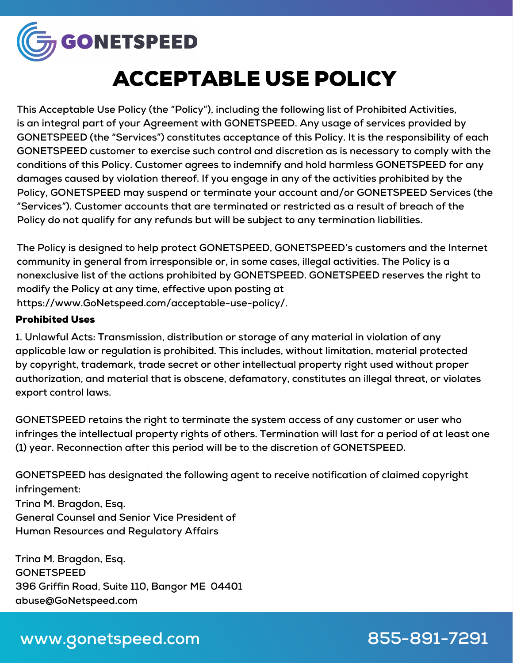

# ACCEPTABLE USE POLICY

**This Acceptable Use Policy (the "Policy"), including the following list of Prohibited Activities, is an integral part of your Agreement with GONETSPEED. Any usage of services provided by GONETSPEED (the "Services") constitutes acceptance of this Policy. It is the responsibility of each GONETSPEED customer to exercise such control and discretion as is necessary to comply with the conditions of this Policy. Customer agrees to indemnify and hold harmless GONETSPEED for any damages caused by violation thereof. If you engage in any of the activities prohibited by the Policy, GONETSPEED may suspend or terminate your account and/or GONETSPEED Services (the "Services"). Customer accounts that are terminated or restricted as a result of breach of the Policy do not qualify for any refunds but will be subject to any termination liabilities.**

**The Policy is designed to help protect GONETSPEED, GONETSPEED's customers and the Internet community in general from irresponsible or, in some cases, illegal activities. The Policy is a nonexclusive list of the actions prohibited by GONETSPEED. GONETSPEED reserves the right to modify the Policy at any time, effective upon posting at https://www.GoNetspeed.com/acceptable-use-policy/.**

#### Prohibited Uses

**1. Unlawful Acts: Transmission, distribution or storage of any material in violation of any applicable law or regulation is prohibited. This includes, without limitation, material protected by copyright, trademark, trade secret or other intellectual property right used without proper authorization, and material that is obscene, defamatory, constitutes an illegal threat, or violates export control laws.**

**GONETSPEED retains the right to terminate the system access of any customer or user who infringes the intellectual property rights of others. Termination will last for a period of at least one (1) year. Reconnection after this period will be to the discretion of GONETSPEED.**

**GONETSPEED has designated the following agent to receive notification of claimed copyright infringement:**

**Trina M. Bragdon, Esq. General Counsel and Senior Vice President of Human Resources and Regulatory Affairs**

**Trina M. Bragdon, Esq. GONETSPEED 396 Griffin Road, Suite 110, Bangor ME 04401 abuse@GoNetspeed.com**

#### **www.gonetspeed.com**

**855-891-7291**